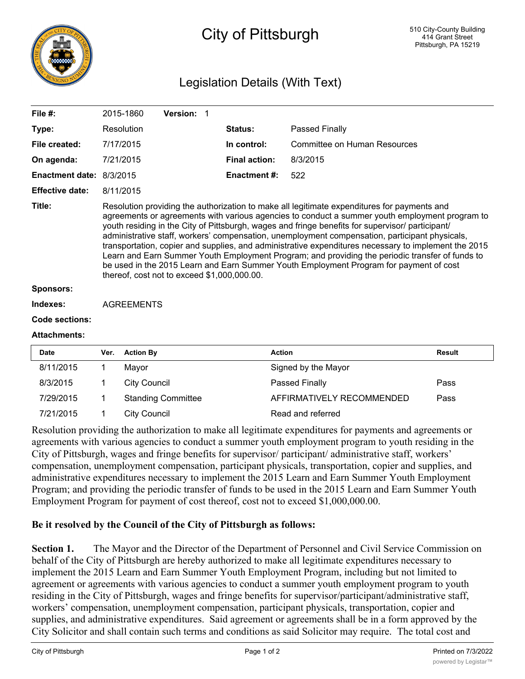

## City of Pittsburgh

## Legislation Details (With Text)

| File $#$ :               |                                                                                                                                                                                                                                                                                                                                                                                                                                                                                                                                                                                                                                                                                                                                                         | 2015-1860           | Version: 1                |  |                      |                                     |               |
|--------------------------|---------------------------------------------------------------------------------------------------------------------------------------------------------------------------------------------------------------------------------------------------------------------------------------------------------------------------------------------------------------------------------------------------------------------------------------------------------------------------------------------------------------------------------------------------------------------------------------------------------------------------------------------------------------------------------------------------------------------------------------------------------|---------------------|---------------------------|--|----------------------|-------------------------------------|---------------|
| Type:                    |                                                                                                                                                                                                                                                                                                                                                                                                                                                                                                                                                                                                                                                                                                                                                         | Resolution          |                           |  | Status:              | Passed Finally                      |               |
| File created:            |                                                                                                                                                                                                                                                                                                                                                                                                                                                                                                                                                                                                                                                                                                                                                         | 7/17/2015           |                           |  | In control:          | <b>Committee on Human Resources</b> |               |
| On agenda:               |                                                                                                                                                                                                                                                                                                                                                                                                                                                                                                                                                                                                                                                                                                                                                         | 7/21/2015           |                           |  | <b>Final action:</b> | 8/3/2015                            |               |
| Enactment date: 8/3/2015 |                                                                                                                                                                                                                                                                                                                                                                                                                                                                                                                                                                                                                                                                                                                                                         |                     |                           |  | <b>Enactment#:</b>   | 522                                 |               |
| <b>Effective date:</b>   |                                                                                                                                                                                                                                                                                                                                                                                                                                                                                                                                                                                                                                                                                                                                                         | 8/11/2015           |                           |  |                      |                                     |               |
| Title:                   | Resolution providing the authorization to make all legitimate expenditures for payments and<br>agreements or agreements with various agencies to conduct a summer youth employment program to<br>youth residing in the City of Pittsburgh, wages and fringe benefits for supervisor/ participant/<br>administrative staff, workers' compensation, unemployment compensation, participant physicals,<br>transportation, copier and supplies, and administrative expenditures necessary to implement the 2015<br>Learn and Earn Summer Youth Employment Program; and providing the periodic transfer of funds to<br>be used in the 2015 Learn and Earn Summer Youth Employment Program for payment of cost<br>thereof, cost not to exceed \$1,000,000.00. |                     |                           |  |                      |                                     |               |
| <b>Sponsors:</b>         |                                                                                                                                                                                                                                                                                                                                                                                                                                                                                                                                                                                                                                                                                                                                                         |                     |                           |  |                      |                                     |               |
| Indexes:                 | <b>AGREEMENTS</b>                                                                                                                                                                                                                                                                                                                                                                                                                                                                                                                                                                                                                                                                                                                                       |                     |                           |  |                      |                                     |               |
| <b>Code sections:</b>    |                                                                                                                                                                                                                                                                                                                                                                                                                                                                                                                                                                                                                                                                                                                                                         |                     |                           |  |                      |                                     |               |
| <b>Attachments:</b>      |                                                                                                                                                                                                                                                                                                                                                                                                                                                                                                                                                                                                                                                                                                                                                         |                     |                           |  |                      |                                     |               |
| Date                     | Ver.                                                                                                                                                                                                                                                                                                                                                                                                                                                                                                                                                                                                                                                                                                                                                    | <b>Action By</b>    |                           |  |                      | <b>Action</b>                       | <b>Result</b> |
| 8/11/2015                | 1                                                                                                                                                                                                                                                                                                                                                                                                                                                                                                                                                                                                                                                                                                                                                       | Mayor               |                           |  |                      | Signed by the Mayor                 |               |
| 8/3/2015                 | 1                                                                                                                                                                                                                                                                                                                                                                                                                                                                                                                                                                                                                                                                                                                                                       | <b>City Council</b> |                           |  |                      | Passed Finally                      | Pass          |
| 7/29/2015                | 1                                                                                                                                                                                                                                                                                                                                                                                                                                                                                                                                                                                                                                                                                                                                                       |                     | <b>Standing Committee</b> |  |                      | AFFIRMATIVELY RECOMMENDED           | Pass          |
| 7/21/2015                | 1                                                                                                                                                                                                                                                                                                                                                                                                                                                                                                                                                                                                                                                                                                                                                       | <b>City Council</b> |                           |  |                      | Read and referred                   |               |

Resolution providing the authorization to make all legitimate expenditures for payments and agreements or agreements with various agencies to conduct a summer youth employment program to youth residing in the City of Pittsburgh, wages and fringe benefits for supervisor/ participant/ administrative staff, workers' compensation, unemployment compensation, participant physicals, transportation, copier and supplies, and administrative expenditures necessary to implement the 2015 Learn and Earn Summer Youth Employment Program; and providing the periodic transfer of funds to be used in the 2015 Learn and Earn Summer Youth Employment Program for payment of cost thereof, cost not to exceed \$1,000,000.00.

## **Be it resolved by the Council of the City of Pittsburgh as follows:**

**Section 1.** The Mayor and the Director of the Department of Personnel and Civil Service Commission on behalf of the City of Pittsburgh are hereby authorized to make all legitimate expenditures necessary to implement the 2015 Learn and Earn Summer Youth Employment Program, including but not limited to agreement or agreements with various agencies to conduct a summer youth employment program to youth residing in the City of Pittsburgh, wages and fringe benefits for supervisor/participant/administrative staff, workers' compensation, unemployment compensation, participant physicals, transportation, copier and supplies, and administrative expenditures. Said agreement or agreements shall be in a form approved by the City Solicitor and shall contain such terms and conditions as said Solicitor may require. The total cost and